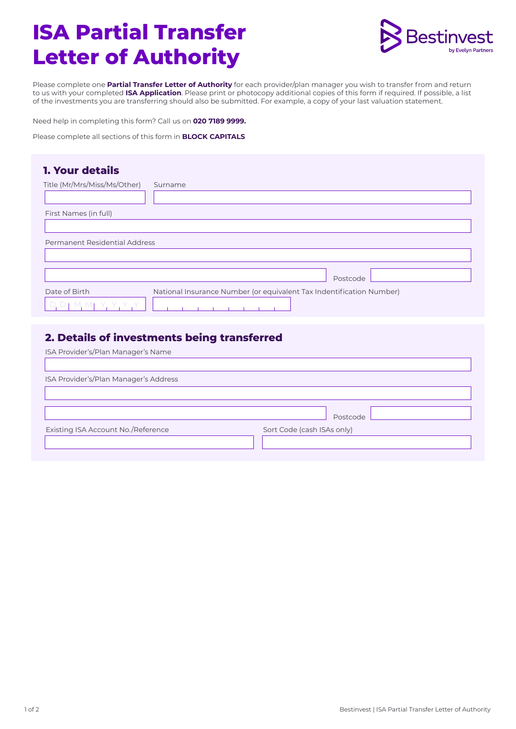# **ISA Partial Transfer Letter of Authority**



Please complete one **Partial Transfer Letter of Authority** for each provider/plan manager you wish to transfer from and return to us with your completed **ISA Application**. Please print or photocopy additional copies of this form if required. If possible, a list of the investments you are transferring should also be submitted. For example, a copy of your last valuation statement.

Need help in completing this form? Call us on **020 7189 9999.**

Please complete all sections of this form in **BLOCK CAPITALS** 

### **1. Your details**

| Title (Mr/Mrs/Miss/Ms/Other)  | Surname                                                              |
|-------------------------------|----------------------------------------------------------------------|
| First Names (in full)         |                                                                      |
|                               |                                                                      |
| Permanent Residential Address |                                                                      |
|                               |                                                                      |
|                               | Postcode                                                             |
| Date of Birth                 | National Insurance Number (or equivalent Tax Indentification Number) |

## **2. Details of investments being transferred**

| Postcode                   |  |  |  |
|----------------------------|--|--|--|
| Sort Code (cash ISAs only) |  |  |  |
|                            |  |  |  |
|                            |  |  |  |